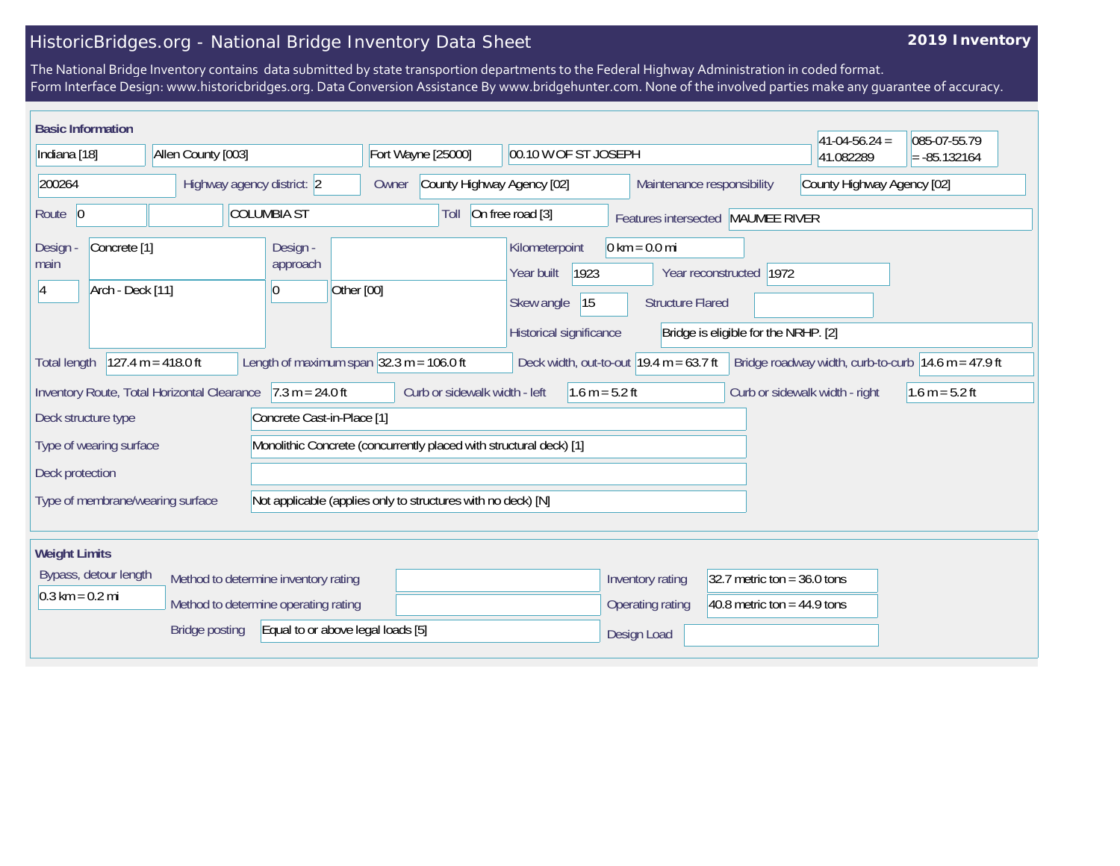## HistoricBridges.org - National Bridge Inventory Data Sheet

## **2019 Inventory**

The National Bridge Inventory contains data submitted by state transportion departments to the Federal Highway Administration in coded format. Form Interface Design: www.historicbridges.org. Data Conversion Assistance By www.bridgehunter.com. None of the involved parties make any guarantee of accuracy.

| <b>Basic Information</b>                                   |                                             |                                             |                    |                                        |            |                                                                    |                                            |                                                           |                                                   |                                                   |                                                                   | $ 41-04-56.24 $                | 085-07-55.79                                          |
|------------------------------------------------------------|---------------------------------------------|---------------------------------------------|--------------------|----------------------------------------|------------|--------------------------------------------------------------------|--------------------------------------------|-----------------------------------------------------------|---------------------------------------------------|---------------------------------------------------|-------------------------------------------------------------------|--------------------------------|-------------------------------------------------------|
| Indiana [18]                                               |                                             | Allen County [003]                          |                    |                                        |            | Fort Wayne [25000]                                                 |                                            | 00.10 W OF ST JOSEPH                                      |                                                   |                                                   | 41.082289                                                         | $= -85.132164$                 |                                                       |
| 200264                                                     |                                             | Highway agency district: 2                  |                    |                                        |            | County Highway Agency [02]<br>Owner                                |                                            |                                                           |                                                   | Maintenance responsibility                        |                                                                   | County Highway Agency [02]     |                                                       |
| Route 0                                                    |                                             |                                             | <b>COLUMBIA ST</b> |                                        |            | On free road [3]<br>Toll                                           |                                            |                                                           |                                                   |                                                   | Features intersected MAUMEE RIVER                                 |                                |                                                       |
| Design -<br>main<br>14                                     | Concrete <sup>[1]</sup><br>Arch - Deck [11] |                                             |                    | Design -<br>approach<br>l <sub>0</sub> | Other [00] |                                                                    | Kilometerpoint<br>Year built<br>Skew angle | 1923<br>15<br>Historical significance                     | $0 \text{ km} = 0.0 \text{ mi}$                   | <b>Structure Flared</b>                           | Year reconstructed   1972<br>Bridge is eligible for the NRHP. [2] |                                |                                                       |
| <b>Total length</b>                                        |                                             | $127.4 m = 418.0 ft$                        |                    |                                        |            | Length of maximum span $ 32.3 \text{ m} = 106.0 \text{ ft} $       |                                            | Deck width, out-to-out $19.4 \text{ m} = 63.7 \text{ ft}$ |                                                   |                                                   |                                                                   |                                | Bridge roadway width, curb-to-curb $14.6$ m = 47.9 ft |
|                                                            |                                             | Inventory Route, Total Horizontal Clearance |                    | $7.3 m = 24.0 ft$                      |            | Curb or sidewalk width - left                                      |                                            | $1.6 m = 5.2 ft$                                          |                                                   |                                                   |                                                                   | Curb or sidewalk width - right | $1.6 m = 5.2 ft$                                      |
| Deck structure type                                        |                                             |                                             |                    | Concrete Cast-in-Place [1]             |            |                                                                    |                                            |                                                           |                                                   |                                                   |                                                                   |                                |                                                       |
| Type of wearing surface                                    |                                             |                                             |                    |                                        |            | Monolithic Concrete (concurrently placed with structural deck) [1] |                                            |                                                           |                                                   |                                                   |                                                                   |                                |                                                       |
| Deck protection                                            |                                             |                                             |                    |                                        |            |                                                                    |                                            |                                                           |                                                   |                                                   |                                                                   |                                |                                                       |
|                                                            |                                             | Type of membrane/wearing surface            |                    |                                        |            | Not applicable (applies only to structures with no deck) [N]       |                                            |                                                           |                                                   |                                                   |                                                                   |                                |                                                       |
| <b>Weight Limits</b>                                       |                                             |                                             |                    |                                        |            |                                                                    |                                            |                                                           |                                                   |                                                   |                                                                   |                                |                                                       |
| Bypass, detour length                                      |                                             | Method to determine inventory rating        |                    |                                        |            |                                                                    |                                            |                                                           | Inventory rating<br>32.7 metric ton = $36.0$ tons |                                                   |                                                                   |                                |                                                       |
| $0.3 \text{ km} = 0.2 \text{ mi}$                          |                                             | Method to determine operating rating        |                    |                                        |            |                                                                    |                                            |                                                           |                                                   | 40.8 metric ton = $44.9$ tons<br>Operating rating |                                                                   |                                |                                                       |
| <b>Bridge posting</b><br>Equal to or above legal loads [5] |                                             |                                             |                    |                                        |            |                                                                    | Design Load                                |                                                           |                                                   |                                                   |                                                                   |                                |                                                       |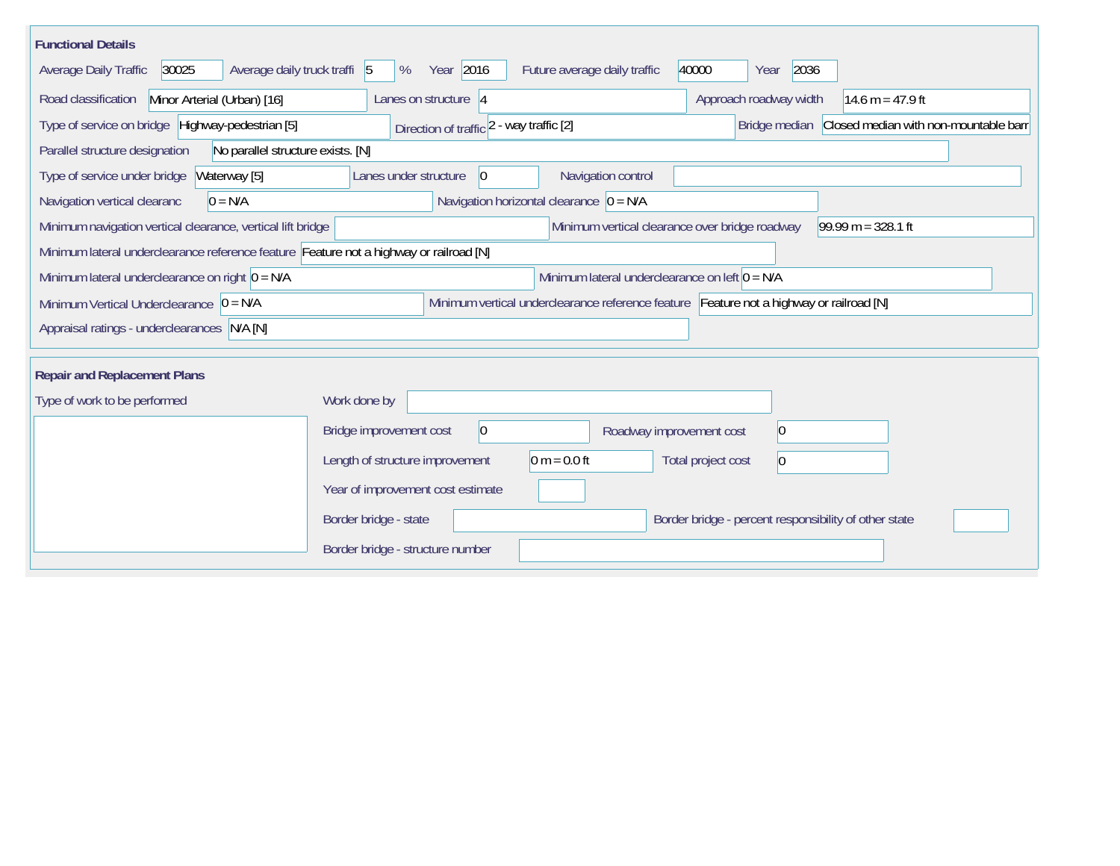| <b>Functional Details</b>                                                                                                             |                                                          |                                                       |  |  |  |  |  |  |  |  |
|---------------------------------------------------------------------------------------------------------------------------------------|----------------------------------------------------------|-------------------------------------------------------|--|--|--|--|--|--|--|--|
| 30025<br>Average daily truck traffi 5<br>Average Daily Traffic                                                                        | Year 2016<br>Future average daily traffic<br>%           | 40000<br>2036<br>Year                                 |  |  |  |  |  |  |  |  |
| Minor Arterial (Urban) [16]<br>Road classification                                                                                    | Lanes on structure 4                                     | Approach roadway width<br>14.6 m = $47.9$ ft          |  |  |  |  |  |  |  |  |
| Type of service on bridge Highway-pedestrian [5]                                                                                      | Direction of traffic 2 - way traffic [2]                 | Bridge median Closed median with non-mountable barr   |  |  |  |  |  |  |  |  |
| Parallel structure designation<br>No parallel structure exists. [N]                                                                   |                                                          |                                                       |  |  |  |  |  |  |  |  |
| Type of service under bridge<br>Waterway [5]                                                                                          | Navigation control<br>Lanes under structure<br>$\vert$ 0 |                                                       |  |  |  |  |  |  |  |  |
| $0 = N/A$<br>Navigation vertical clearanc                                                                                             | Navigation horizontal clearance $\overline{0} = N/A$     |                                                       |  |  |  |  |  |  |  |  |
| Minimum navigation vertical clearance, vertical lift bridge<br>Minimum vertical clearance over bridge roadway<br>$99.99 m = 328.1 ft$ |                                                          |                                                       |  |  |  |  |  |  |  |  |
| Minimum lateral underclearance reference feature Feature not a highway or railroad [N]                                                |                                                          |                                                       |  |  |  |  |  |  |  |  |
| Minimum lateral underclearance on left $0 = N/A$<br>Minimum lateral underclearance on right $0 = N/A$                                 |                                                          |                                                       |  |  |  |  |  |  |  |  |
| Minimum vertical underclearance reference feature Feature not a highway or railroad [N]<br>Minimum Vertical Underclearance $ 0 = N/A$ |                                                          |                                                       |  |  |  |  |  |  |  |  |
| Appraisal ratings - underclearances N/A [N]                                                                                           |                                                          |                                                       |  |  |  |  |  |  |  |  |
|                                                                                                                                       |                                                          |                                                       |  |  |  |  |  |  |  |  |
| <b>Repair and Replacement Plans</b>                                                                                                   |                                                          |                                                       |  |  |  |  |  |  |  |  |
| Type of work to be performed                                                                                                          | Work done by                                             |                                                       |  |  |  |  |  |  |  |  |
|                                                                                                                                       | Bridge improvement cost<br>$ 0\rangle$                   | 0 <br>Roadway improvement cost                        |  |  |  |  |  |  |  |  |
|                                                                                                                                       | $0 m = 0.0 ft$<br>Length of structure improvement        | Total project cost<br>$\vert 0 \vert$                 |  |  |  |  |  |  |  |  |
|                                                                                                                                       | Year of improvement cost estimate                        |                                                       |  |  |  |  |  |  |  |  |
|                                                                                                                                       | Border bridge - state                                    | Border bridge - percent responsibility of other state |  |  |  |  |  |  |  |  |
|                                                                                                                                       | Border bridge - structure number                         |                                                       |  |  |  |  |  |  |  |  |